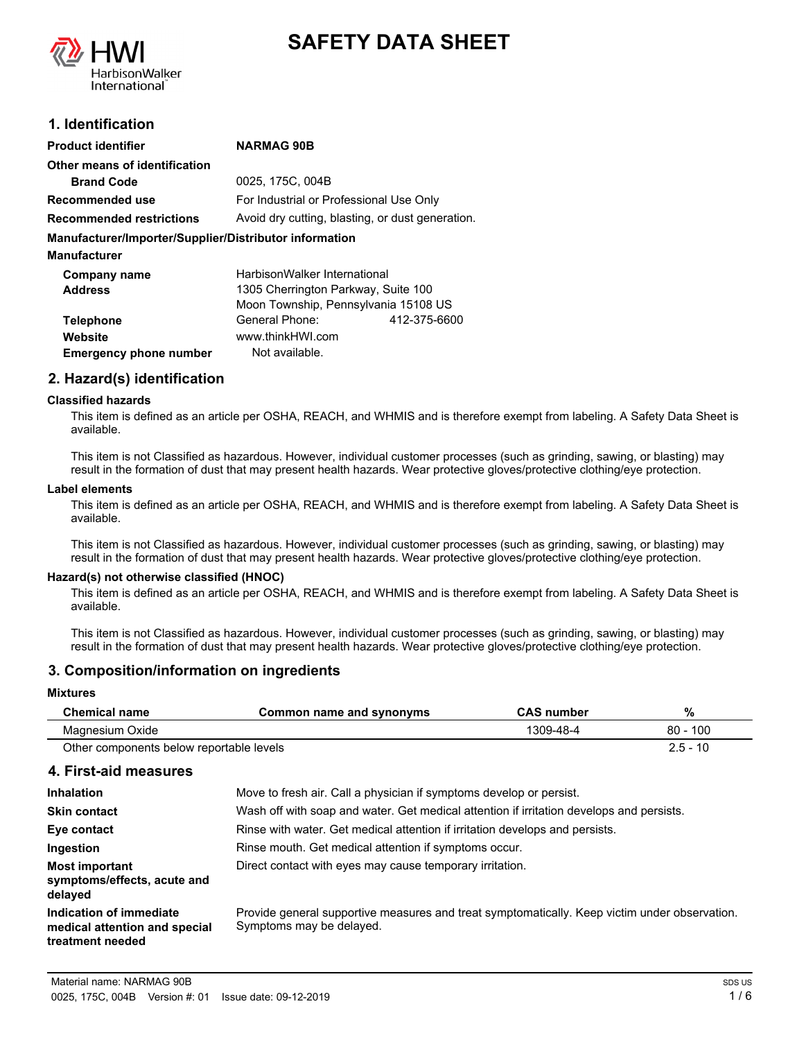



### **1. Identification**

| <b>Product identifier</b>                              | <b>NARMAG 90B</b>                                |              |
|--------------------------------------------------------|--------------------------------------------------|--------------|
| Other means of identification                          |                                                  |              |
| <b>Brand Code</b>                                      | 0025, 175C, 004B                                 |              |
| Recommended use                                        | For Industrial or Professional Use Only          |              |
| <b>Recommended restrictions</b>                        | Avoid dry cutting, blasting, or dust generation. |              |
| Manufacturer/Importer/Supplier/Distributor information |                                                  |              |
| <b>Manufacturer</b>                                    |                                                  |              |
| Company name                                           | HarbisonWalker International                     |              |
| <b>Address</b>                                         | 1305 Cherrington Parkway, Suite 100              |              |
|                                                        | Moon Township, Pennsylvania 15108 US             |              |
| <b>Telephone</b>                                       | General Phone:                                   | 412-375-6600 |
| Website                                                | www.thinkHWI.com                                 |              |
| <b>Emergency phone number</b>                          | Not available.                                   |              |

### **2. Hazard(s) identification**

#### **Classified hazards**

This item is defined as an article per OSHA, REACH, and WHMIS and is therefore exempt from labeling. A Safety Data Sheet is available.

This item is not Classified as hazardous. However, individual customer processes (such as grinding, sawing, or blasting) may result in the formation of dust that may present health hazards. Wear protective gloves/protective clothing/eye protection.

#### **Label elements**

This item is defined as an article per OSHA, REACH, and WHMIS and is therefore exempt from labeling. A Safety Data Sheet is available.

This item is not Classified as hazardous. However, individual customer processes (such as grinding, sawing, or blasting) may result in the formation of dust that may present health hazards. Wear protective gloves/protective clothing/eye protection.

#### **Hazard(s) not otherwise classified (HNOC)**

This item is defined as an article per OSHA, REACH, and WHMIS and is therefore exempt from labeling. A Safety Data Sheet is available.

This item is not Classified as hazardous. However, individual customer processes (such as grinding, sawing, or blasting) may result in the formation of dust that may present health hazards. Wear protective gloves/protective clothing/eye protection.

### **3. Composition/information on ingredients**

#### **Mixtures**

| <b>Chemical name</b>                     | Common name and svnonvms | <b>CAS number</b> | %              |
|------------------------------------------|--------------------------|-------------------|----------------|
| Magnesium Oxide                          |                          | 1309-48-4         | .100<br>$80 -$ |
| Other components below reportable levels |                          |                   | $2.5 - 10$     |

#### **4. First-aid measures**

| <b>Inhalation</b>                                                            | Move to fresh air. Call a physician if symptoms develop or persist.                                                       |
|------------------------------------------------------------------------------|---------------------------------------------------------------------------------------------------------------------------|
| <b>Skin contact</b>                                                          | Wash off with soap and water. Get medical attention if irritation develops and persists.                                  |
| Eye contact                                                                  | Rinse with water. Get medical attention if irritation develops and persists.                                              |
| Ingestion                                                                    | Rinse mouth. Get medical attention if symptoms occur.                                                                     |
| <b>Most important</b><br>symptoms/effects, acute and<br>delayed              | Direct contact with eyes may cause temporary irritation.                                                                  |
| Indication of immediate<br>medical attention and special<br>treatment needed | Provide general supportive measures and treat symptomatically. Keep victim under observation.<br>Symptoms may be delayed. |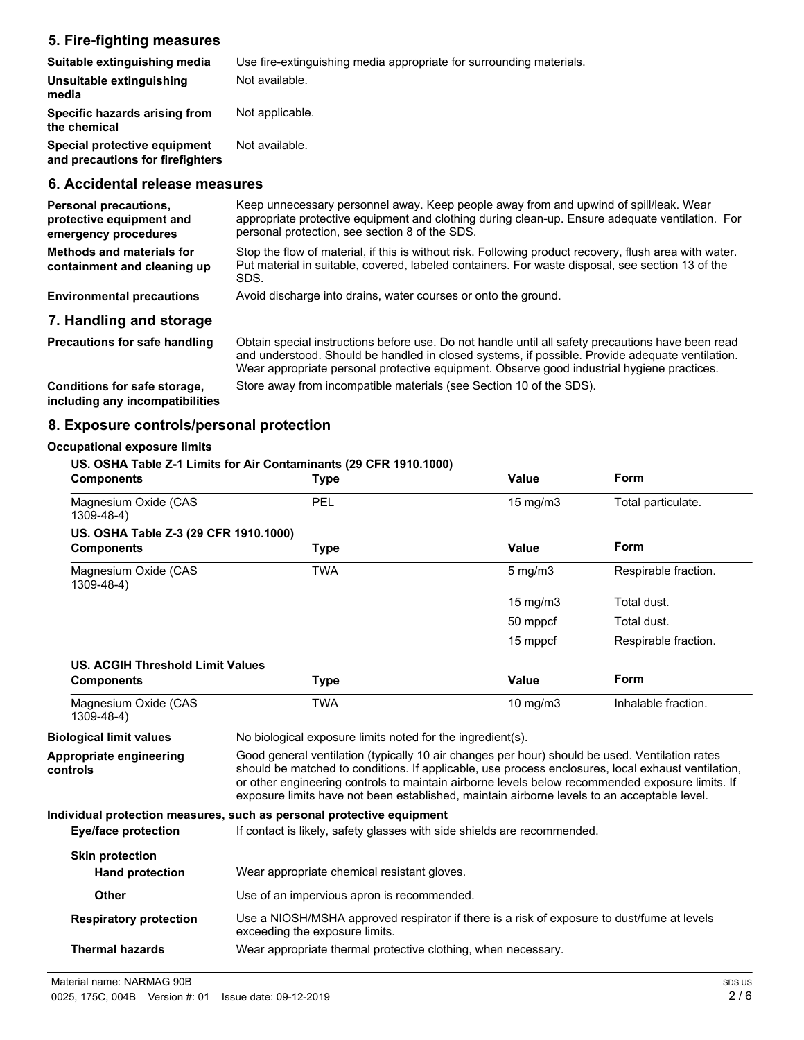### **5. Fire-fighting measures**

| Suitable extinguishing media                                                     | Use fire-extinguishing media appropriate for surrounding materials.                                                                                                                                                                        |
|----------------------------------------------------------------------------------|--------------------------------------------------------------------------------------------------------------------------------------------------------------------------------------------------------------------------------------------|
| Unsuitable extinguishing<br>media                                                | Not available.                                                                                                                                                                                                                             |
| Specific hazards arising from<br>the chemical                                    | Not applicable.                                                                                                                                                                                                                            |
| Special protective equipment<br>and precautions for firefighters                 | Not available.                                                                                                                                                                                                                             |
| 6. Accidental release measures                                                   |                                                                                                                                                                                                                                            |
| <b>Personal precautions,</b><br>protective equipment and<br>emergency procedures | Keep unnecessary personnel away. Keep people away from and upwind of spill/leak. Wear<br>appropriate protective equipment and clothing during clean-up. Ensure adequate ventilation. For<br>personal protection, see section 8 of the SDS. |
| <b>Methods and materials for</b>                                                 | Stop the flow of material, if this is without risk. Following product recovery, flush area with water.                                                                                                                                     |

Stop the flow of material, if this is without risk. Following product recovery, flush area with water. Put material in suitable, covered, labeled containers. For waste disposal, see section 13 of the SDS. **containment and cleaning up**

**Environmental precautions** Avoid discharge into drains, water courses or onto the ground.

### **7. Handling and storage**

Obtain special instructions before use. Do not handle until all safety precautions have been read and understood. Should be handled in closed systems, if possible. Provide adequate ventilation. Wear appropriate personal protective equipment. Observe good industrial hygiene practices. **Precautions for safe handling Conditions for safe storage,** Store away from incompatible materials (see Section 10 of the SDS).

**including any incompatibilities**

### **8. Exposure controls/personal protection**

#### **Occupational exposure limits**

#### **US. OSHA Table Z-1 Limits for Air Contaminants (29 CFR 1910.1000)**

| <b>Components</b>                         | <b>Type</b>                                                                                                                                                                                                                                                                                                                                                                                            | Value             | Form                 |
|-------------------------------------------|--------------------------------------------------------------------------------------------------------------------------------------------------------------------------------------------------------------------------------------------------------------------------------------------------------------------------------------------------------------------------------------------------------|-------------------|----------------------|
| Magnesium Oxide (CAS<br>$1309 - 48 - 4$ ) | PEL                                                                                                                                                                                                                                                                                                                                                                                                    | $15 \text{ mg/m}$ | Total particulate.   |
| US. OSHA Table Z-3 (29 CFR 1910.1000)     |                                                                                                                                                                                                                                                                                                                                                                                                        |                   |                      |
| <b>Components</b>                         | <b>Type</b>                                                                                                                                                                                                                                                                                                                                                                                            | Value             | <b>Form</b>          |
| Magnesium Oxide (CAS<br>$1309 - 48 - 4$ ) | <b>TWA</b>                                                                                                                                                                                                                                                                                                                                                                                             | $5$ mg/m $3$      | Respirable fraction. |
|                                           |                                                                                                                                                                                                                                                                                                                                                                                                        | 15 mg/m3          | Total dust.          |
|                                           |                                                                                                                                                                                                                                                                                                                                                                                                        | 50 mppcf          | Total dust.          |
|                                           |                                                                                                                                                                                                                                                                                                                                                                                                        | 15 mppcf          | Respirable fraction. |
| <b>US. ACGIH Threshold Limit Values</b>   |                                                                                                                                                                                                                                                                                                                                                                                                        |                   |                      |
| <b>Components</b>                         | <b>Type</b>                                                                                                                                                                                                                                                                                                                                                                                            | Value             | <b>Form</b>          |
| Magnesium Oxide (CAS<br>$1309 - 48 - 4$ ) | <b>TWA</b>                                                                                                                                                                                                                                                                                                                                                                                             | $10$ mg/m $3$     | Inhalable fraction.  |
| <b>Biological limit values</b>            | No biological exposure limits noted for the ingredient(s).                                                                                                                                                                                                                                                                                                                                             |                   |                      |
| Appropriate engineering<br>controls       | Good general ventilation (typically 10 air changes per hour) should be used. Ventilation rates<br>should be matched to conditions. If applicable, use process enclosures, local exhaust ventilation,<br>or other engineering controls to maintain airborne levels below recommended exposure limits. If<br>exposure limits have not been established, maintain airborne levels to an acceptable level. |                   |                      |
|                                           | Individual protection measures, such as personal protective equipment                                                                                                                                                                                                                                                                                                                                  |                   |                      |
| <b>Eye/face protection</b>                | If contact is likely, safety glasses with side shields are recommended.                                                                                                                                                                                                                                                                                                                                |                   |                      |
| <b>Skin protection</b>                    |                                                                                                                                                                                                                                                                                                                                                                                                        |                   |                      |
| <b>Hand protection</b>                    | Wear appropriate chemical resistant gloves.                                                                                                                                                                                                                                                                                                                                                            |                   |                      |
| <b>Other</b>                              | Use of an impervious apron is recommended.                                                                                                                                                                                                                                                                                                                                                             |                   |                      |
| <b>Respiratory protection</b>             | Use a NIOSH/MSHA approved respirator if there is a risk of exposure to dust/fume at levels<br>exceeding the exposure limits.                                                                                                                                                                                                                                                                           |                   |                      |
| <b>Thermal hazards</b>                    | Wear appropriate thermal protective clothing, when necessary.                                                                                                                                                                                                                                                                                                                                          |                   |                      |
|                                           |                                                                                                                                                                                                                                                                                                                                                                                                        |                   |                      |

Material name: NARMAG 90B

**controls**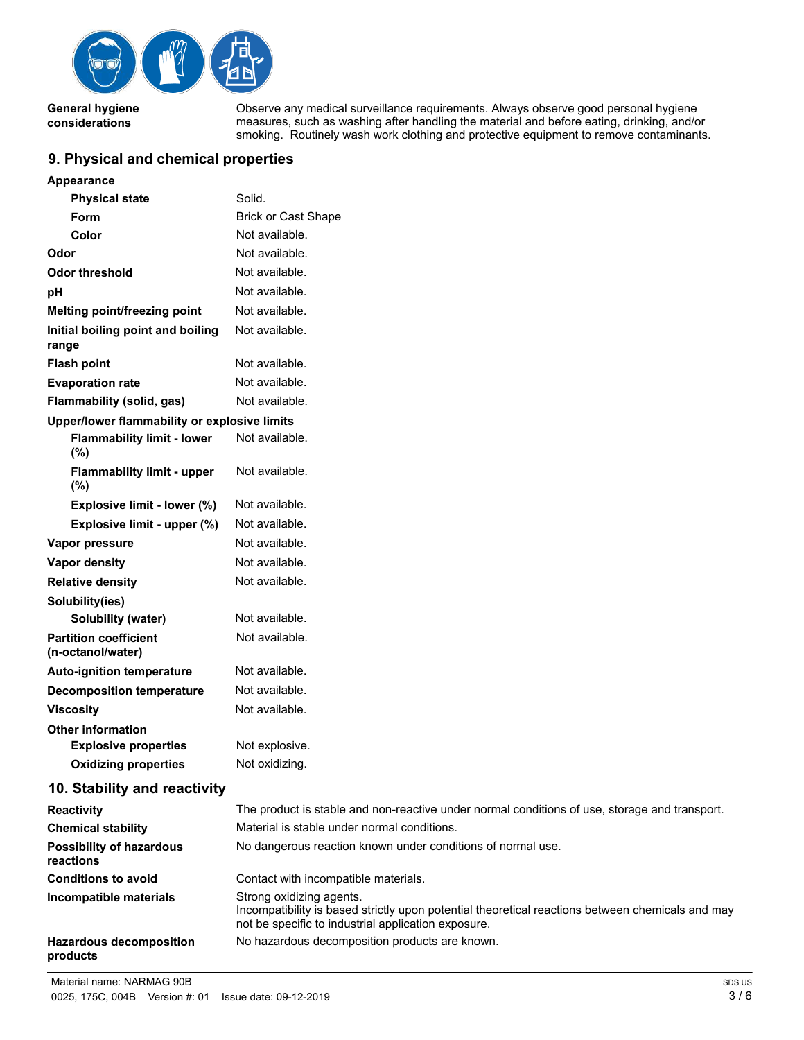

**General hygiene considerations**

Observe any medical surveillance requirements. Always observe good personal hygiene measures, such as washing after handling the material and before eating, drinking, and/or smoking. Routinely wash work clothing and protective equipment to remove contaminants.

### **9. Physical and chemical properties**

| <b>Appearance</b>                                 |                                                                                                                                                                                     |
|---------------------------------------------------|-------------------------------------------------------------------------------------------------------------------------------------------------------------------------------------|
| <b>Physical state</b>                             | Solid.                                                                                                                                                                              |
| Form                                              | <b>Brick or Cast Shape</b>                                                                                                                                                          |
| Color                                             | Not available.                                                                                                                                                                      |
| Odor                                              | Not available.                                                                                                                                                                      |
| <b>Odor threshold</b>                             | Not available.                                                                                                                                                                      |
| pH                                                | Not available.                                                                                                                                                                      |
| Melting point/freezing point                      | Not available.                                                                                                                                                                      |
| Initial boiling point and boiling<br>range        | Not available.                                                                                                                                                                      |
| <b>Flash point</b>                                | Not available.                                                                                                                                                                      |
| <b>Evaporation rate</b>                           | Not available.                                                                                                                                                                      |
| Flammability (solid, gas)                         | Not available.                                                                                                                                                                      |
| Upper/lower flammability or explosive limits      |                                                                                                                                                                                     |
| <b>Flammability limit - lower</b><br>(%)          | Not available.                                                                                                                                                                      |
| <b>Flammability limit - upper</b><br>(%)          | Not available.                                                                                                                                                                      |
| Explosive limit - lower (%)                       | Not available.                                                                                                                                                                      |
| Explosive limit - upper (%)                       | Not available.                                                                                                                                                                      |
| Vapor pressure                                    | Not available.                                                                                                                                                                      |
| <b>Vapor density</b>                              | Not available.                                                                                                                                                                      |
| <b>Relative density</b>                           | Not available.                                                                                                                                                                      |
| Solubility(ies)                                   |                                                                                                                                                                                     |
| <b>Solubility (water)</b>                         | Not available.                                                                                                                                                                      |
| <b>Partition coefficient</b><br>(n-octanol/water) | Not available.                                                                                                                                                                      |
| <b>Auto-ignition temperature</b>                  | Not available.                                                                                                                                                                      |
| <b>Decomposition temperature</b>                  | Not available.                                                                                                                                                                      |
| <b>Viscosity</b>                                  | Not available.                                                                                                                                                                      |
| <b>Other information</b>                          |                                                                                                                                                                                     |
| <b>Explosive properties</b>                       | Not explosive.                                                                                                                                                                      |
| <b>Oxidizing properties</b>                       | Not oxidizing.                                                                                                                                                                      |
| 10. Stability and reactivity                      |                                                                                                                                                                                     |
| <b>Reactivity</b>                                 | The product is stable and non-reactive under normal conditions of use, storage and transport.                                                                                       |
| <b>Chemical stability</b>                         | Material is stable under normal conditions.                                                                                                                                         |
| <b>Possibility of hazardous</b><br>reactions      | No dangerous reaction known under conditions of normal use.                                                                                                                         |
| <b>Conditions to avoid</b>                        | Contact with incompatible materials.                                                                                                                                                |
| Incompatible materials                            | Strong oxidizing agents.<br>Incompatibility is based strictly upon potential theoretical reactions between chemicals and may<br>not be specific to industrial application exposure. |
| <b>Hazardous decomposition</b><br>products        | No hazardous decomposition products are known.                                                                                                                                      |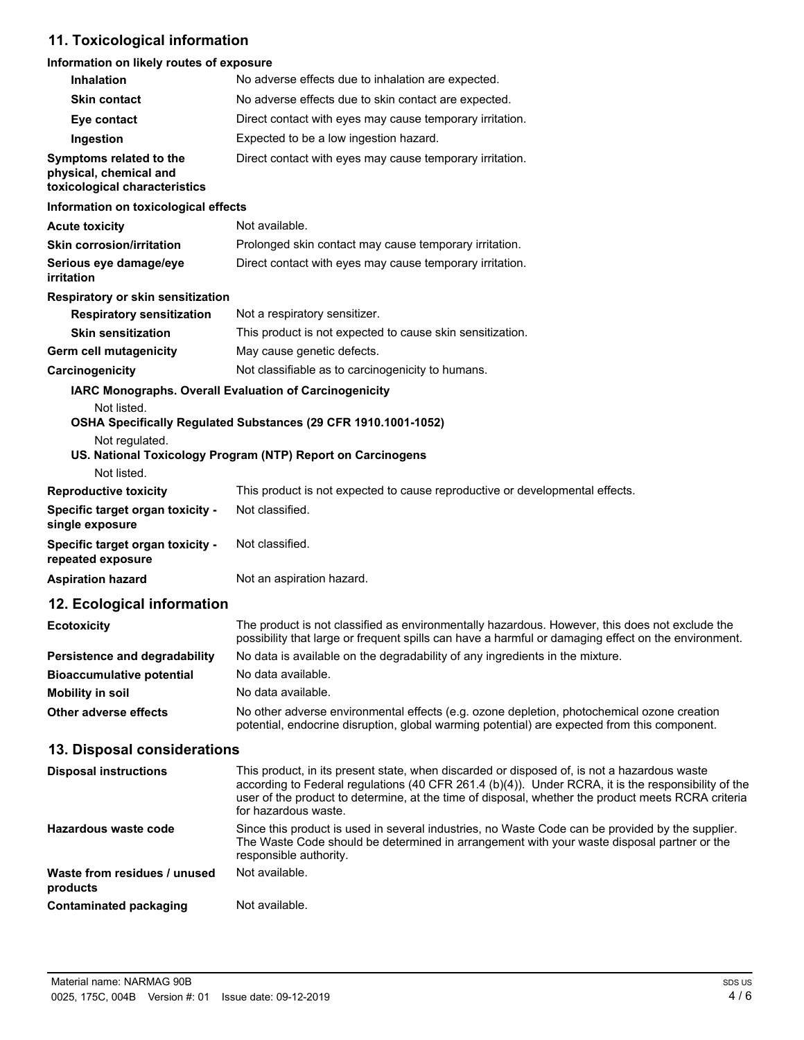# **11. Toxicological information**

### **Information on likely routes of exposure**

| Inhalation                                                                         | No adverse effects due to inhalation are expected.                                                                                                                                                                                                                                                                               |
|------------------------------------------------------------------------------------|----------------------------------------------------------------------------------------------------------------------------------------------------------------------------------------------------------------------------------------------------------------------------------------------------------------------------------|
| <b>Skin contact</b>                                                                | No adverse effects due to skin contact are expected.                                                                                                                                                                                                                                                                             |
| Eye contact                                                                        | Direct contact with eyes may cause temporary irritation.                                                                                                                                                                                                                                                                         |
| Ingestion                                                                          | Expected to be a low ingestion hazard.                                                                                                                                                                                                                                                                                           |
| Symptoms related to the<br>physical, chemical and<br>toxicological characteristics | Direct contact with eyes may cause temporary irritation.                                                                                                                                                                                                                                                                         |
| Information on toxicological effects                                               |                                                                                                                                                                                                                                                                                                                                  |
| <b>Acute toxicity</b>                                                              | Not available.                                                                                                                                                                                                                                                                                                                   |
| <b>Skin corrosion/irritation</b>                                                   | Prolonged skin contact may cause temporary irritation.                                                                                                                                                                                                                                                                           |
| Serious eye damage/eye<br>irritation                                               | Direct contact with eyes may cause temporary irritation.                                                                                                                                                                                                                                                                         |
| <b>Respiratory or skin sensitization</b>                                           |                                                                                                                                                                                                                                                                                                                                  |
| <b>Respiratory sensitization</b>                                                   | Not a respiratory sensitizer.                                                                                                                                                                                                                                                                                                    |
| <b>Skin sensitization</b>                                                          | This product is not expected to cause skin sensitization.                                                                                                                                                                                                                                                                        |
| <b>Germ cell mutagenicity</b>                                                      | May cause genetic defects.                                                                                                                                                                                                                                                                                                       |
| Carcinogenicity                                                                    | Not classifiable as to carcinogenicity to humans.                                                                                                                                                                                                                                                                                |
| Not listed.<br>Not regulated.                                                      | IARC Monographs. Overall Evaluation of Carcinogenicity<br>OSHA Specifically Regulated Substances (29 CFR 1910.1001-1052)<br>US. National Toxicology Program (NTP) Report on Carcinogens                                                                                                                                          |
| Not listed.<br><b>Reproductive toxicity</b>                                        | This product is not expected to cause reproductive or developmental effects.                                                                                                                                                                                                                                                     |
| Specific target organ toxicity -<br>single exposure                                | Not classified.                                                                                                                                                                                                                                                                                                                  |
| Specific target organ toxicity -<br>repeated exposure                              | Not classified.                                                                                                                                                                                                                                                                                                                  |
| <b>Aspiration hazard</b>                                                           | Not an aspiration hazard.                                                                                                                                                                                                                                                                                                        |
| 12. Ecological information                                                         |                                                                                                                                                                                                                                                                                                                                  |
| <b>Ecotoxicity</b>                                                                 | The product is not classified as environmentally hazardous. However, this does not exclude the<br>possibility that large or frequent spills can have a harmful or damaging effect on the environment.                                                                                                                            |
| <b>Persistence and degradability</b>                                               | No data is available on the degradability of any ingredients in the mixture.                                                                                                                                                                                                                                                     |
| <b>Bioaccumulative potential</b>                                                   | No data available.                                                                                                                                                                                                                                                                                                               |
| <b>Mobility in soil</b>                                                            | No data available.                                                                                                                                                                                                                                                                                                               |
| <b>Other adverse effects</b>                                                       | No other adverse environmental effects (e.g. ozone depletion, photochemical ozone creation<br>potential, endocrine disruption, global warming potential) are expected from this component.                                                                                                                                       |
| 13. Disposal considerations                                                        |                                                                                                                                                                                                                                                                                                                                  |
| <b>Disposal instructions</b>                                                       | This product, in its present state, when discarded or disposed of, is not a hazardous waste<br>according to Federal regulations (40 CFR 261.4 (b)(4)). Under RCRA, it is the responsibility of the<br>user of the product to determine, at the time of disposal, whether the product meets RCRA criteria<br>for hazardous waste. |
| Hazardous waste code                                                               | Since this product is used in several industries, no Waste Code can be provided by the supplier.<br>The Waste Code should be determined in arrangement with your waste disposal partner or the<br>responsible authority.                                                                                                         |
| Waste from residues / unused<br>products                                           | Not available.                                                                                                                                                                                                                                                                                                                   |
| <b>Contaminated packaging</b>                                                      | Not available.                                                                                                                                                                                                                                                                                                                   |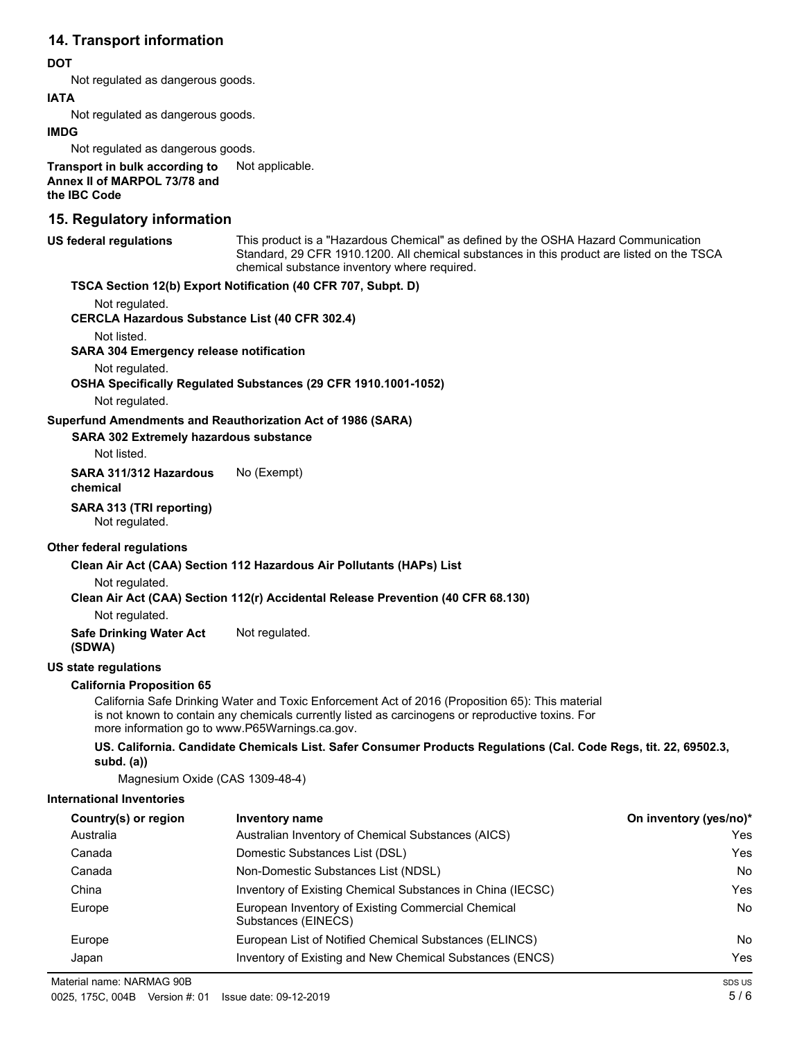## **14. Transport information**

#### **DOT**

Not regulated as dangerous goods.

#### **IATA**

Not regulated as dangerous goods.

#### **IMDG**

Not regulated as dangerous goods.

**Transport in bulk according to** Not applicable. **Annex II of MARPOL 73/78 and the IBC Code**

### **15. Regulatory information**

| <b>US federal regulations</b>                         | This product is a "Hazardous Chemical" as defined by the OSHA Hazard Communication<br>Standard, 29 CFR 1910.1200. All chemical substances in this product are listed on the TSCA<br>chemical substance inventory where required.                        |                        |
|-------------------------------------------------------|---------------------------------------------------------------------------------------------------------------------------------------------------------------------------------------------------------------------------------------------------------|------------------------|
|                                                       | TSCA Section 12(b) Export Notification (40 CFR 707, Subpt. D)                                                                                                                                                                                           |                        |
| Not regulated.                                        |                                                                                                                                                                                                                                                         |                        |
| <b>CERCLA Hazardous Substance List (40 CFR 302.4)</b> |                                                                                                                                                                                                                                                         |                        |
| Not listed.                                           |                                                                                                                                                                                                                                                         |                        |
| <b>SARA 304 Emergency release notification</b>        |                                                                                                                                                                                                                                                         |                        |
| Not regulated.                                        | OSHA Specifically Regulated Substances (29 CFR 1910.1001-1052)                                                                                                                                                                                          |                        |
| Not regulated.                                        |                                                                                                                                                                                                                                                         |                        |
|                                                       | Superfund Amendments and Reauthorization Act of 1986 (SARA)                                                                                                                                                                                             |                        |
| <b>SARA 302 Extremely hazardous substance</b>         |                                                                                                                                                                                                                                                         |                        |
| Not listed.                                           |                                                                                                                                                                                                                                                         |                        |
| SARA 311/312 Hazardous<br>chemical                    | No (Exempt)                                                                                                                                                                                                                                             |                        |
| SARA 313 (TRI reporting)<br>Not regulated.            |                                                                                                                                                                                                                                                         |                        |
| Other federal regulations                             |                                                                                                                                                                                                                                                         |                        |
|                                                       | Clean Air Act (CAA) Section 112 Hazardous Air Pollutants (HAPs) List                                                                                                                                                                                    |                        |
| Not regulated.                                        | Clean Air Act (CAA) Section 112(r) Accidental Release Prevention (40 CFR 68.130)                                                                                                                                                                        |                        |
| Not regulated.                                        |                                                                                                                                                                                                                                                         |                        |
| <b>Safe Drinking Water Act</b><br>(SDWA)              | Not regulated.                                                                                                                                                                                                                                          |                        |
| <b>US state regulations</b>                           |                                                                                                                                                                                                                                                         |                        |
| <b>California Proposition 65</b>                      | California Safe Drinking Water and Toxic Enforcement Act of 2016 (Proposition 65): This material<br>is not known to contain any chemicals currently listed as carcinogens or reproductive toxins. For<br>more information go to www.P65Warnings.ca.gov. |                        |
| $subd.$ (a))                                          | US. California. Candidate Chemicals List. Safer Consumer Products Regulations (Cal. Code Regs, tit. 22, 69502.3,                                                                                                                                        |                        |
| Magnesium Oxide (CAS 1309-48-4)                       |                                                                                                                                                                                                                                                         |                        |
| <b>International Inventories</b>                      |                                                                                                                                                                                                                                                         |                        |
| Country(s) or region                                  | <b>Inventory name</b>                                                                                                                                                                                                                                   | On inventory (yes/no)* |
| Australia                                             | Australian Inventory of Chemical Substances (AICS)                                                                                                                                                                                                      | Yes                    |
| Canada                                                | Domestic Substances List (DSL)                                                                                                                                                                                                                          | Yes                    |
| Canada                                                | Non-Domestic Substances List (NDSL)                                                                                                                                                                                                                     | No                     |
| China                                                 | Inventory of Existing Chemical Substances in China (IECSC)                                                                                                                                                                                              | Yes                    |
| Europe                                                | European Inventory of Existing Commercial Chemical<br>Substances (EINECS)                                                                                                                                                                               | No                     |
| Europe                                                | European List of Notified Chemical Substances (ELINCS)                                                                                                                                                                                                  | No                     |

Japan Inventory of Existing and New Chemical Substances (ENCS) Yes